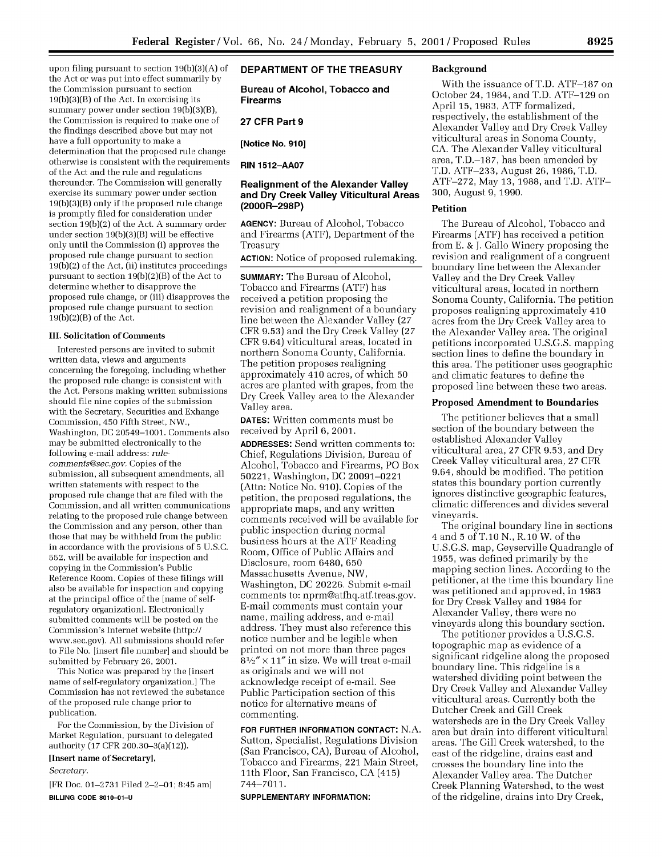upon filing pursuant to section 19(b)(3)(A) of the Act or was put into effect summarily by the Commission pursuant to section 19(b)(3)(B) of the Act. In exercising its summary power under section 19(b)(3)(B), the Commission is required to make one of the findings described above but may not have a full opportunity to make a determination that the proposed rule change otherwise is consistent with the requirements of the Act and the rule and regulations thereunder. The Commission will generally exercise its summary power under section 19(b)(3)(B) only if the proposed rule change is promptly filed for consideration under section 19(b)(2) of the Act. A summary order under section 19(b)(3)(B) will be effective only until the Commission (i) approves the proposed rule change pursuant to section 19(b)(2) of the Act, (ii) institutes proceedings pursuant to section 19(b)(2)(B) of the Act to determine whether to disapprove the proposed rule change, or (iii) disapproves the proposed rule change pursuant to section 19(b)(2)(B) of the Act.

#### **III. Solicitation of Comments**

Interested persons are invited to submit written data, views and arguments concerning the foregoing, including whether the proposed rule change is consistent with the Act. Persons making written submissions should file nine copies of the submission with the Secretary, Securities and Exhange Commission, 450 Fifth Street, NW., Washington, DC 20549-1001. Comments also may be submitted electronically to the following e-mail address: *rulecomments@sec.gov.* Copies of the submission, all subsequent amendments, all written statements with respect to the proposed rule change that are filed with the Commission, and all written communications relating to the proposed rule change between the Commission and any person, other than those that may be withheld from the public in accordance with the provisions of **5** U.S.C. 552, will be available for inspection and copying in the Commission's Public Reference Room. Copies of these filings will also be available for inspection and copying at the principal office of the [name of selfregulatory organization]. Electronically submitted comments will be posted on the Commission's Internet website (http:// www.sec.gov). All submissions should refer to File No. [insert file number] and should be submitted by February 26, 2001.

This Notice was prepared by the [insert name of self-regulatory organization.] The Commission has not reviewed the substance of the proposed rule change prior to publication.

For the Commission, by the Division of Market Regulation, pursuant to delegated authority (17 CFR 200.30-3(a)(12)).

## **[Insert name of Secretary],**

*Secretary.*

[FR Doc. **01-2731** Filed 2-2-01; 8:45 am] **BILLING CODE 8010-01-U**

# **DEPARTMENT OF THE TREASURY**

**Bureau of Alcohol, Tobacco and Firearms**

## **27 CFR Part 9**

**[Notice No. 910]**

**RIN 1512-AA07**

## **Realignment of the Alexander Valley and Dry Creek Valley Viticultural Areas (2000R-298P)**

**AGENCY:** Bureau of Alcohol, Tobacco and Firearms (ATF), Department of the Treasury

**ACTION:** Notice of proposed rulemaking.

**SUMMARY:** The Bureau of Alcohol, Tobacco and Firearms (ATF) has received a petition proposing the revision and realignment of a boundary line between the Alexander Valley (27 CFR 9.53) and the Dry Creek Valley (27 CFR 9.64) viticultural areas, located in northern Sonoma County, California. The petition proposes realigning approximately 410 acres, of which 50 acres are planted with grapes, from the Dry Creek Valley area to the Alexander Valley area.

**DATES:** Written comments must be received by April 6, 2001.

**ADDRESSES:** Send written comments to: Chief, Regulations Division, Bureau of Alcohol, Tobacco and Firearms, PO Box 50221, Washington, DC 20091-0221 (Attn: Notice No. 910). Copies of the petition, the proposed regulations, the appropriate maps, and any written comments received will be available for public inspection during normal business hours at the ATF Reading Room, Office of Public Affairs and Disclosure, room 6480, 650 Massachusetts Avenue, NW, Washington, DC 20226. Submit e-mail comments to: nprm@atfhq.atf.treas.gov. E-mail comments must contain your name, mailing address, and e-mail address. They must also reference this notice number and be legible when printed on not more than three pages  $8<sup>1</sup>⁄<sub>2</sub>''$  × 11" in size. We will treat e-mail as originals and we will not acknowledge receipt of e-mail. See Public Participation section of this notice for alternative means of commenting.

**FOR FURTHER INFORMATION CONTACT:** N.A. Sutton, Specialist, Regulations Division (San Francisco, CA), Bureau of Alcohol, Tobacco and Firearms, 221 Main Street, 11th Floor, San Francisco, CA (415) 744-7011.

#### **SUPPLEMENTARY INFORMATION:**

### **Background**

With the issuance of T.D. ATF-187 on October 24, 1984, and T.D. ATF-129 on April **15,** 1983, ATF formalized, respectively, the establishment of the Alexander Valley and Dry Creek Valley viticultural areas in Sonoma County, CA. The Alexander Valley viticultural area, T.D.-187, has been amended by T.D. ATF-233, August 26, 1986, T.D. ATF-272, May 13, 1988, and T.D. ATF-300, August 9, 1990.

## **Petition**

The Bureau of Alcohol, Tobacco and Firearms (ATF) has received a petition from E. & **J.** Gallo Winery proposing the revision and realignment of a congruent boundary line between the Alexander Valley and the Dry Creek Valley viticultural areas, located in northern Sonoma County, California. The petition proposes realigning approximately 410 acres from the Dry Creek Valley area to the Alexander Valley area. The original petitions incorporated U.S.G.S. mapping section lines to define the boundary in this area. The petitioner uses geographic and climatic features to define the proposed line between these two areas.

#### **Proposed Amendment to Boundaries**

The petitioner believes that a small section of the boundary between the established Alexander Valley viticultural area, 27 CFR 9.53, and Dry Creek Valley viticultural area, 27 CFR 9.64, should be modified. The petition states this boundary portion currently ignores distinctive geographic features, climatic differences and divides several vineyards.

The original boundary line in sections 4 and 5 of T.10 N., R.10 W. of the U.S.G.S. map, Geyserville Quadrangle of 1955, was defined primarily by the mapping section lines. According to the petitioner, at the time this boundary line was petitioned and approved, in 1983 for Dry Creek Valley and 1984 for Alexander Valley, there were no vineyards along this boundary section.

The petitioner provides a U.S.G.S. topographic map as evidence of a significant ridgeline along the proposed boundary line. This ridgeline is a watershed dividing point between the Dry Creek Valley and Alexander Valley viticultural areas. Currently both the Dutcher Creek and Gill Creek watersheds are in the Dry Creek Valley area but drain into different viticultural areas. The Gill Creek watershed, to the east of the ridgeline, drains east and crosses the boundary line into the Alexander Valley area. The Dutcher Creek Planning Watershed, to the west of the ridgeline, drains into Dry Creek,